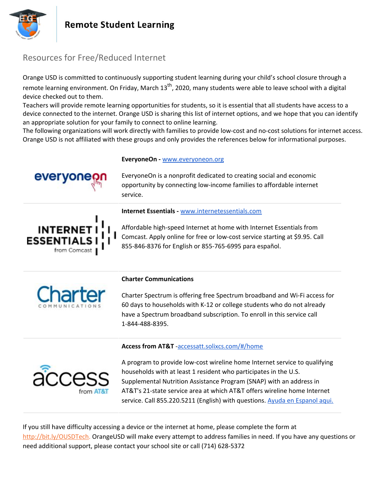



### Resources for Free/Reduced Internet

Orange USD is committed to continuously supporting student learning during your child's school closure through a remote learning environment. On Friday, March 13<sup>th</sup>, 2020, many students were able to leave school with a digital device checked out to them.

Teachers will provide remote learning opportunities for students, so it is essential that all students have access to a device connected to the internet. Orange USD is sharing this list of internet options, and we hope that you can identify an appropriate solution for your family to connect to online learning.

The following organizations will work directly with families to provide low-cost and no-cost solutions for internet access. Orange USD is not affiliated with these groups and only provides the references below for informational purposes.

**EveryoneOn -** [www.everyoneon.org](http://www.everyoneon.org/)

EveryoneOn is a nonprofit dedicated to creating social and economic opportunity by connecting low-income families to affordable internet service.



### **Internet Essentials -** [www.internetessentials.com](http://www.internetessentials.com/)

Affordable high-speed Internet at home with Internet Essentials from Comcast. Apply online for free or low-cost service starting at \$9.95. Call 855-846-8376 for English or 855-765-6995 para español.



### **Charter Communications**

Charter Spectrum is offering free Spectrum broadband and Wi-Fi access for 60 days to households with K-12 or college students who do not already have a Spectrum broadband subscription. To enroll in this service call 1-844-488-8395.

### **Access from AT&T** [-accessatt.solixcs.com/#/home](https://accessatt.solixcs.com/#/home)



A program to provide low-cost wireline home Internet service to qualifying households with at least 1 resident who participates in the U.S. Supplemental Nutrition Assistance Program (SNAP) with an address in AT&T's 21-state service area at which AT&T offers wireline home Internet service. Call 855.220.5211 (English) with questions. Ayuda en [Espanol](https://www.att.com/es-us/shop/internet/access/#!/) aqui.

If you still have difficulty accessing a device or the internet at home, please complete the form at <http://bit.ly/OUSDTech>. OrangeUSD will make every attempt to address families in need. If you have any questions or need additional support, please contact your school site or call (714) 628-5372